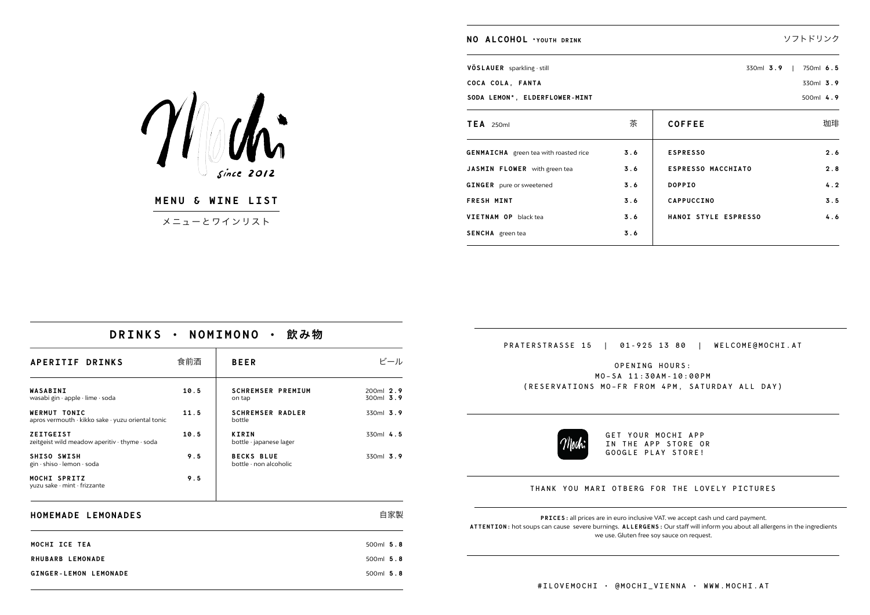**MENU & WINE LIST**

 $Since$   $2012$ 

メニューとワインリスト

|  |  | DRINKS · NOMIMONO · 飲み物 |  |  |
|--|--|-------------------------|--|--|
|--|--|-------------------------|--|--|

| APERITIF DRINKS                                                          | 食前酒  | <b>BEER</b>                                       | ビール                      |
|--------------------------------------------------------------------------|------|---------------------------------------------------|--------------------------|
| WASABINI<br>wasabi gin · apple · lime · soda                             | 10.5 | <b>SCHREMSER PREMIUM</b><br>on tap                | 200ml $2.9$<br>300ml 3.9 |
| <b>WERMUT TONIC</b><br>apros vermouth · kikko sake · yuzu oriental tonic | 11.5 | <b>SCHREMSER RADLER</b><br>bottle                 | $330ml$ 3.9              |
| <b>ZEITGEIST</b><br>zeitgeist wild meadow aperitiv · thyme · soda        | 10.5 | <b>KIRIN</b><br>bottle · japanese lager           | $330ml$ 4.5              |
| SHISO SWISH<br>gin · shiso · lemon · soda                                | 9.5  | <b>BECKS BLUE</b><br>bottle $\cdot$ non alcoholic | $330ml$ 3.9              |
| MOCHI SPRITZ<br>yuzu sake · mint · frizzante                             | 9.5  |                                                   |                          |

| HOMEMADE LEMONADES           | 自家製         |
|------------------------------|-------------|
| MOCHI ICE TEA                | 500ml $5.8$ |
| RHUBARB LEMONADE             | 500ml $5.8$ |
| <b>GINGER-LEMON LEMONADE</b> | 500ml $5.8$ |





## THANK YOU MARI OTBERG FOR THE LOVELY PICTURES

| NO ALCOHOL *YOUTH DRINK                      |     |                           | ソフトドリンク   |
|----------------------------------------------|-----|---------------------------|-----------|
| VÖSLAUER sparkling · still                   |     | $330ml$ 3.9               | 750ml 6.5 |
| COCA COLA, FANTA                             |     |                           | 330ml 3.9 |
| SODA LEMON*, ELDERFLOWER-MINT                |     |                           | 500ml 4.9 |
| $TEA$ 250ml                                  | 茶   | <b>COFFEE</b>             | 珈琲        |
| <b>GENMAICHA</b> green tea with roasted rice | 3.6 | <b>ESPRESSO</b>           | 2.6       |
| JASMIN FLOWER with green tea                 | 3.6 | <b>ESPRESSO MACCHIATO</b> | 2.8       |
| <b>GINGER</b> pure or sweetened              | 3.6 | <b>DOPPIO</b>             | 4.2       |
| <b>FRESH MINT</b>                            | 3.6 | <b>CAPPUCCINO</b>         | 3.5       |
| VIETNAM OP black tea                         | 3.6 | HANOI STYLE ESPRESSO      | 4.6       |
| SENCHA green tea                             | 3.6 |                           |           |

GET YOUR MOCHI APP

IN THE APP STORE OR GOOGLE PLAY STORE!

**PRICES:** all prices are in euro inclusive VAT. we accept cash und card payment. **ATTENTION:** hot soups can cause severe burnings. **ALLERGENS:** Our staff will inform you about all allergens in the ingredients we use. Gluten free soy sauce on request.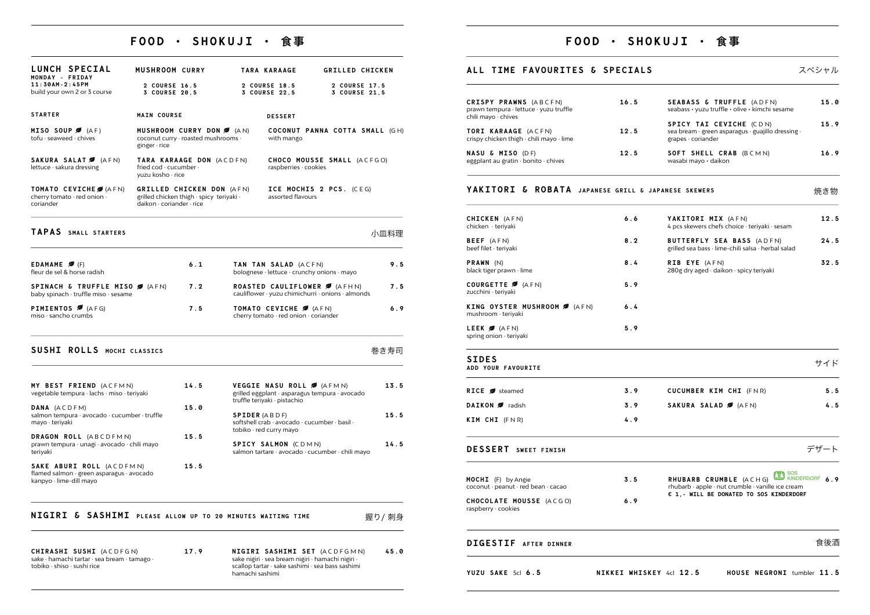# **FOOD • SHOKUJI • ⻝事**

- CHIRASHI SUSHI (ACDFGN) sake · hamachi tartar · sea bream · tamago · tobiko · shiso · sushi rice
- 

17.9 **NIGIRI SASHIMI SET** (ACDFGMN) sake nigiri · sea bream nigiri · hamachi nigiri · scallop tartar · sake sashimi · sea bass sashimi hamachi sashimi **45.0**

| LUNCH SPECIAL                                                                                    | <b>MUSHROOM CURRY</b>                       |                                                                       |                      | <b>TARA KARAAGE</b>                                                      | <b>GRILLED CHICKEN</b>                                                                   |      |
|--------------------------------------------------------------------------------------------------|---------------------------------------------|-----------------------------------------------------------------------|----------------------|--------------------------------------------------------------------------|------------------------------------------------------------------------------------------|------|
| MONDAY - FRIDAY<br>$11:30AM-2:45PM$<br>build your own 2 or 3 course                              | 2 COURSE 16.5<br>3 COURSE 20.5              |                                                                       |                      | 2 COURSE 18.5<br>3 COURSE 22.5                                           | 2 COURSE 17.5<br>3 COURSE 21.5                                                           |      |
| <b>STARTER</b>                                                                                   | <b>MAIN COURSE</b>                          |                                                                       |                      | <b>DESSERT</b>                                                           |                                                                                          |      |
| MISO SOUP $\blacktriangledown$ (AF)<br>tofu · seaweed · chives                                   | ginger · rice                               | MUSHROOM CURRY DON 6 (AN)<br>coconut curry · roasted mushrooms ·      |                      | with mango                                                               | COCONUT PANNA COTTA SMALL (GH)                                                           |      |
| SAKURA SALAT (AFN)<br>lettuce · sakura dressing                                                  | fried cod · cucumber ·<br>yuzu kosho · rice | TARA KARAAGE DON (ACDFN)                                              |                      | raspberries · cookies                                                    | CHOCO MOUSSE SMALL (ACFGO)                                                               |      |
| TOMATO CEVICHE / (AFN)<br>cherry tomato · red onion ·<br>coriander                               | daikon $\cdot$ coriander $\cdot$ rice       | GRILLED CHICKEN DON (AFN)<br>grilled chicken thigh · spicy teriyaki · |                      | assorted flavours                                                        | ICE MOCHIS 2 PCS. (CEG)                                                                  |      |
| TAPAS SMALL STARTERS                                                                             |                                             |                                                                       |                      |                                                                          |                                                                                          | 小皿料理 |
| <b>EDAMAME</b> $\blacktriangledown$ (F)<br>fleur de sel & horse radish                           |                                             | 6.1                                                                   |                      | TAN TAN SALAD (ACFN)                                                     | bolognese · lettuce · crunchy onions · mayo                                              | 9.5  |
| SPINACH & TRUFFLE MISO Ø (AFN)<br>baby spinach · truffle miso · sesame                           |                                             | 7.2                                                                   |                      |                                                                          | ROASTED CAULIFLOWER <b>6</b> (AFHN)<br>cauliflower · yuzu chimichurri · onions · almonds | 7.5  |
| <b>PIMIENTOS </b> (AFG)<br>$miso \cdot$ sancho crumbs                                            |                                             | 7.5                                                                   |                      | TOMATO CEVICHE <b>3</b> (AFN)<br>cherry tomato · red onion · coriander   |                                                                                          | 6.9  |
| SUSHI ROLLS MOCHI CLASSICS                                                                       |                                             |                                                                       |                      |                                                                          |                                                                                          | 巻き寿司 |
| MY BEST FRIEND (ACFMN)<br>vegetable tempura · lachs · miso · teriyaki                            |                                             | 14.5                                                                  |                      | VEGGIE NASU ROLL Ø (AFMN)<br>truffle teriyaki · pistachio                | grilled eggplant · asparagus tempura · avocado                                           | 13.5 |
| DANA (ACDFM)<br>salmon tempura · avocado · cucumber · truffle<br>mayo · teriyaki                 |                                             | 15.0                                                                  | <b>SPIDER (ABDF)</b> | softshell crab · avocado · cucumber · basil ·<br>tobiko · red curry mayo |                                                                                          | 15.5 |
| DRAGON ROLL (ABCDFMN)<br>prawn tempura · unagi · avocado · chili mayo<br>teriyaki                |                                             | 15.5                                                                  |                      | SPICY SALMON (CDMN)                                                      | salmon tartare · avocado · cucumber · chili mayo                                         | 14.5 |
| SAKE ABURI ROLL (ACDFMN)<br>flamed salmon · green asparagus · avocado<br>kanpyo · lime-dill mayo |                                             | 15.5                                                                  |                      |                                                                          |                                                                                          |      |

# **NIGIRI & SASHIMI** PLEASE ALLOW UP TO 20 MINUTES WAITING TIME THE 握り/ 刺身

# **FOOD • SHOKUJI • ⻝事**

### **ALL TIME FAVOURITES & SPECIALS** 2ペシャル

| CRISPY PRAWNS (ABCFN)<br>prawn tempura · lettuce · yuzu truffle<br>chili mayo · chives | 16.5 |
|----------------------------------------------------------------------------------------|------|
| TORI KARAAGE (ACFN)<br>crispy chicken thigh · chili mayo · lime                        | 12.5 |
| <b>NASU &amp; MISO</b> (DF)<br>eggplant au gratin · bonito · chives                    | 12.5 |

### **YAKITORI & ROBATA** JAPANESE GRILL & JAPA

### **DESSERT SWEET FINISH** デザート

| <b>MOCHI</b> (F) by Angie<br>coconut $\cdot$ peanut $\cdot$ red bean $\cdot$ cacao | 3.5 |  |
|------------------------------------------------------------------------------------|-----|--|
| CHOCOLATE MOUSSE (ACGO)<br>raspberry · cookies                                     | 6.9 |  |

**RHUBARB CRUMBLE** (A C H G) **6.9** rhubarb · apple · nut crumble · vanille ice cream **€ 1,- WILL BE DONATED TO SOS KINDERDORF**

## **DIGESTIF AFTER DINNER** 食後酒

**YUZU SAKE** 5cl **6.5 NIKKEI WHISKEY** 4cl **12.5 HOUSE NEGRONI** tumbler **11.5**

| <b>SEABASS &amp; TRUFFLE (ADFN)</b><br>seabass • yuzu truffle • olive • kimchi sesame                    | 15.0 |
|----------------------------------------------------------------------------------------------------------|------|
| SPICY TAI CEVICHE (CDN)<br>sea bream · green asparagus · guajillo dressing ·<br>$grapes \cdot coriander$ | 15.9 |
| SOFT SHELL CRAB (BCMN)<br>wasabi mayo · daikon                                                           | 16.9 |
| <b>INESE SKEWERS</b>                                                                                     | 焼き物  |
| YAKITORI MIX (AFN)<br>4 pcs skewers chefs choice · teriyaki · sesam                                      | 12.5 |
| BUTTERFLY SEA BASS (ADFN)<br>grilled sea bass · lime-chili salsa · herbal salad                          | 24.5 |
|                                                                                                          |      |

| <b>SIDES</b>                                                 |     |
|--------------------------------------------------------------|-----|
| <b>LEEK </b> $\bigotimes$ (AFN)<br>spring onion teriyaki     | 5.9 |
| KING OYSTER MUSHROOM Ø (AFN)<br>$m$ ushroom $\cdot$ teriyaki | 6.4 |
| COURGETTE <b>6</b> (AFN)<br>zucchini · teriyaki              | 5.9 |
| <b>PRAWN</b> $(N)$<br>black tiger prawn $\cdot$ lime         | 8.4 |
| <b>BEEF</b> (AFN)<br>beef filet · teriyaki                   | 8.2 |
| CHICKEN (AFN)<br>chicken · teriyaki                          | 6.6 |
|                                                              |     |

| ADD YOUR FAVOURITE |  |
|--------------------|--|

| <b>SIDES</b><br>ADD YOUR FAVOURITE |                               |     |  |  |
|------------------------------------|-------------------------------|-----|--|--|
| 3.9                                | <b>CUCUMBER KIM CHI (FNR)</b> | 5.5 |  |  |
| 3.9                                | SAKURA SALAD (AFN)            | 4.5 |  |  |
|                                    |                               |     |  |  |

| RICE <b></b> steamed | 3.9 |
|----------------------|-----|
| DAIKON adish         | 3.9 |
| KIM CHI (FNR)        | 4.9 |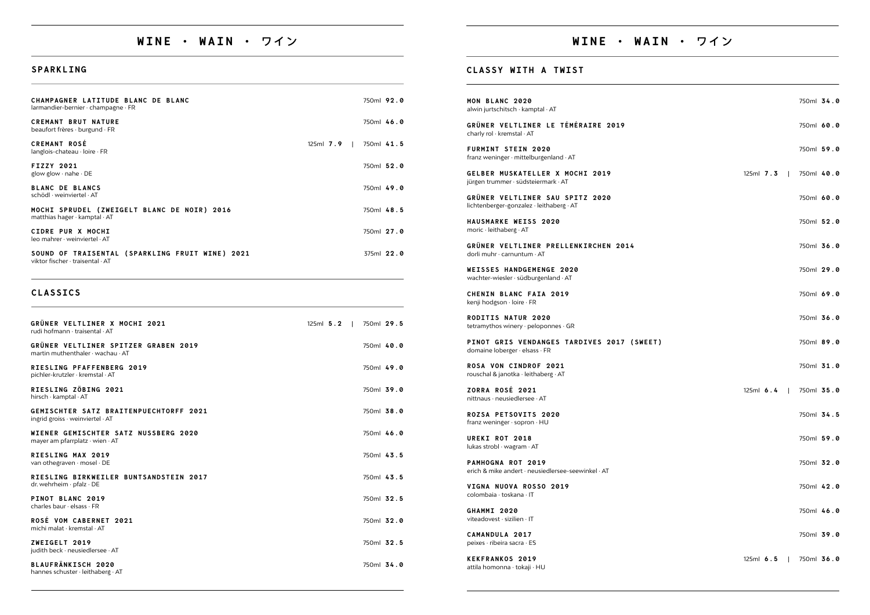# WINE · WAIN · ワイン

## SPARKLING

| CHAMPAGNER LATITUDE BLANC DE BLANC<br>$larmandier-bernier \cdot channel \cdot FR$        |             | 750ml 92.0 |  |
|------------------------------------------------------------------------------------------|-------------|------------|--|
| <b>CREMANT BRUT NATURE</b><br>beaufort frères · burgund · FR                             |             | 750ml 46.0 |  |
| <b>CREMANT ROSÉ</b><br>$langlois$ -chateau $\cdot$ loire $\cdot$ FR                      | $125ml$ 7.9 | 750ml 41.5 |  |
| <b>FIZZY 2021</b><br>glow glow $\cdot$ nahe $\cdot$ DE                                   |             | 750ml 52.0 |  |
| <b>BLANC DE BLANCS</b><br>schödl · weinviertel · AT                                      |             | 750ml 49.0 |  |
| MOCHI SPRUDEL (ZWEIGELT BLANC DE NOIR) 2016<br>matthias hager $\cdot$ kamptal $\cdot$ AT |             | 750ml 48.5 |  |
| CIDRE PUR X MOCHI<br>$leo$ mahrer $\cdot$ weinviertel $\cdot$ AT                         |             | 750ml 27.0 |  |
| SOUND OF TRAISENTAL (SPARKLING FRUIT WINE) 2021<br>viktor fischer · traisental · AT      |             | 375ml 22.0 |  |

## **CLASSICS**

| GRÜNER VELTLINER X MOCHI 2021<br>rudi hofmann · traisental · AT                       | $125ml$ 5.2 |  | 750ml 29.5   |  |
|---------------------------------------------------------------------------------------|-------------|--|--------------|--|
| GRÜNER VELTLINER SPITZER GRABEN 2019<br>martin muthenthaler $\cdot$ wachau $\cdot$ AT |             |  | 750ml 40.0   |  |
| RIESLING PFAFFENBERG 2019<br>pichler-krutzler · kremstal · AT                         |             |  | 750ml 49.0   |  |
| RIESLING ZÖBING 2021<br>hirsch · kamptal · AT                                         |             |  | 750ml 39.0   |  |
| GEMISCHTER SATZ BRAITENPUECHTORFF 2021<br>ingrid groiss · weinviertel · AT            |             |  | 750ml 38.0   |  |
| WIENER GEMISCHTER SATZ NUSSBERG 2020<br>mayer am pfarrplatz $\cdot$ wien $\cdot$ AT   |             |  | 750ml 46.0   |  |
| RIESLING MAX 2019<br>van othegraven · mosel · DE                                      |             |  | 750ml 43.5   |  |
| RIESLING BIRKWEILER BUNTSANDSTEIN 2017<br>dr. wehrheim · pfalz · DE                   |             |  | $750ml$ 43.5 |  |
| PINOT BLANC 2019<br>charles baur $\cdot$ elsass $\cdot$ FR                            |             |  | 750ml 32.5   |  |
| ROSÉ VOM CABERNET 2021<br>michi malat · kremstal · AT                                 |             |  | 750ml 32.0   |  |
| ZWEIGELT 2019<br>judith beck · neusiedlersee · AT                                     |             |  | 750ml 32.5   |  |
| BLAUFRÄNKISCH 2020<br>hannes schuster · leithaberg · AT                               |             |  | 750ml 34.0   |  |

## CLASSY WITH A TWIST

| MON BLANC 2020<br>alwin jurtschitsch · kamptal · AT                                |
|------------------------------------------------------------------------------------|
| GRÜNER VELTLINER LE TÉMÉRAIRE 2019<br>charly rol · kremstal · AT                   |
| <b>FURMINT STEIN 2020</b><br>franz weninger · mittelburgenland · AT                |
| GELBER MUSKATELLER X MOCHI 2019<br>jürgen trummer · südsteiermark · AT             |
| <b>GRÜNER VELTLINER SAU SPITZ 2020</b><br>lichtenberger-gonzalez · leithaberg · AT |
| HAUSMARKE WEISS 2020<br>moric $\cdot$ leithaberg $\cdot$ AT                        |
| GRÜNER VELTLINER PRELLENKIRCHEN 2014<br>dorli muhr $\cdot$ carnuntum $\cdot$ AT    |
| <b>WEISSES HANDGEMENGE 2020</b><br>wachter-wiesler · südburgenland · AT            |
| <b>CHENIN BLANC FAIA 2019</b><br>kenji hodgson · loire · FR                        |
| <b>RODITIS NATUR 2020</b><br>tetramythos winery · peloponnes · GR                  |
| PINOT GRIS VENDANGES TARDIVES 2017 (SWEET)<br>domaine loberger · elsass · FR       |
| <b>ROSA VON CINDROF 2021</b><br>rouschal & janotka · leithaberg · AT               |
| ZORRA ROSÉ 2021<br>nittnaus · neusiedlersee · AT                                   |
| ROZSA PETSOVITS 2020<br>franz weninger · sopron · HU                               |
| UREKI ROT 2018<br>lukas strobl · wagram · AT                                       |
| PAMHOGNA ROT 2019<br>erich & mike andert · neusiedlersee-seewinkel · AT            |
| VIGNA NUOVA ROSSO 2019<br>colombaia · toskana · IT                                 |
| GHAMMI 2020<br>viteadovest · sizilien · IT                                         |
| CAMANDIII A 0017                                                                   |

CAMANDULA 2017 peixes · ribeira sacra · ES

**KEKFRANKOS 2019** attila homonna · tokaji · HU

# WINE · WAIN · ワイン

- 750ml 34.0
- 750ml 60.0
- 750ml 59.0
- 125ml 7.3 | 750ml 40.0
	- 750ml 60.0
	- 750ml 52.0
	- 750ml 36.0
	- 750ml 29.0
	- 750ml 69.0
	- 750ml 36.0
	- 750ml 89.0
	- 750ml 31.0
- 125ml 6.4 | 750ml 35.0
	- 750ml 34.5
	- 750ml 59.0
	- 750ml 32.0
	- 750ml 42.0
	- 750ml 46.0
	- 750ml 39.0
- 125ml 6.5 | 750ml 36.0